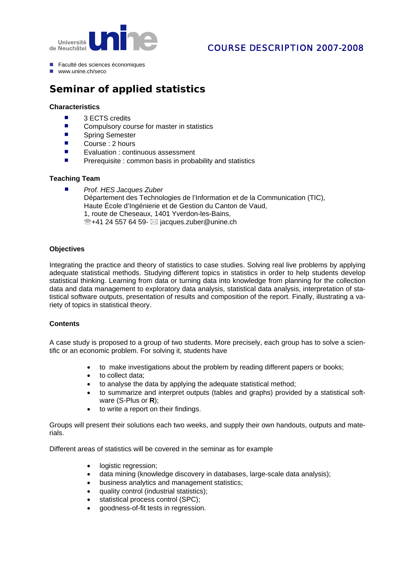

## COURSE DESCRIPTION 2007-2008

- Faculté des sciences économiques
- $\n **www**  $\overline{\text{unline}}\text{ ch/sec}\text{o}$$

# **Seminar of applied statistics**

#### **Characteristics**

- 3 ECTS credits
- Compulsory course for master in statistics<br>■ Spring Semester
- Spring Semester
- Course : 2 hours
- **Exaluation : continuous assessment**
- $\blacksquare$  Prerequisite : common basis in probability and statistics

### **Teaching Team**

- *Prof. HES Jacques Zuber*
	- Département des Technologies de l'Information et de la Communication (TIC), Haute École d'Ingénierie et de Gestion du Canton de Vaud, 1, route de Cheseaux, 1401 Yverdon-les-Bains,  $\mathbb{R}$ +41 24 557 64 59-  $\boxtimes$  jacques.zuber@unine.ch

### **Objectives**

Integrating the practice and theory of statistics to case studies. Solving real live problems by applying adequate statistical methods. Studying different topics in statistics in order to help students develop statistical thinking. Learning from data or turning data into knowledge from planning for the collection data and data management to exploratory data analysis, statistical data analysis, interpretation of statistical software outputs, presentation of results and composition of the report. Finally, illustrating a variety of topics in statistical theory.

#### **Contents**

A case study is proposed to a group of two students. More precisely, each group has to solve a scientific or an economic problem. For solving it, students have

- to make invest igations about the problem by reading different papers or books;
- to collect data;
- to analyse the data by applying the adequate statistical method;
- to summarize and interpret outputs (tables and graphs) provided by a statistical software (S-Plus or **R**);
- to write a report on their findings.

Groups will present their solutions each two weeks, and supply their own handouts, outputs and materials.

Different areas of statistics will be covered in the seminar as for example

- logistic regression:
- data mining (knowledge discovery in databases, large-scale data analysis);
- business analytics and management statistics;
- quality control (industrial statistics);
- statistical process control (SPC);
- goodness-of-fit tests in regression.